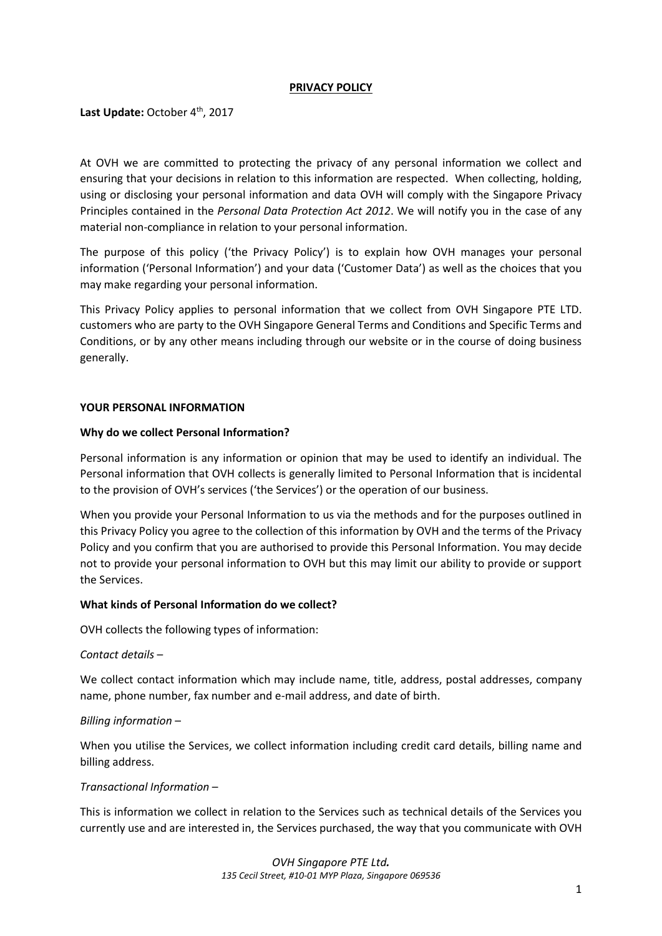### **PRIVACY POLICY**

Last Update: October 4<sup>th</sup>, 2017

At OVH we are committed to protecting the privacy of any personal information we collect and ensuring that your decisions in relation to this information are respected. When collecting, holding, using or disclosing your personal information and data OVH will comply with the Singapore Privacy Principles contained in the *Personal Data Protection Act 2012*. We will notify you in the case of any material non-compliance in relation to your personal information.

The purpose of this policy ('the Privacy Policy') is to explain how OVH manages your personal information ('Personal Information') and your data ('Customer Data') as well as the choices that you may make regarding your personal information.

This Privacy Policy applies to personal information that we collect from OVH Singapore PTE LTD. customers who are party to the OVH Singapore General Terms and Conditions and Specific Terms and Conditions, or by any other means including through our website or in the course of doing business generally.

### **YOUR PERSONAL INFORMATION**

#### **Why do we collect Personal Information?**

Personal information is any information or opinion that may be used to identify an individual. The Personal information that OVH collects is generally limited to Personal Information that is incidental to the provision of OVH's services ('the Services') or the operation of our business.

When you provide your Personal Information to us via the methods and for the purposes outlined in this Privacy Policy you agree to the collection of this information by OVH and the terms of the Privacy Policy and you confirm that you are authorised to provide this Personal Information. You may decide not to provide your personal information to OVH but this may limit our ability to provide or support the Services.

#### **What kinds of Personal Information do we collect?**

OVH collects the following types of information:

#### *Contact details* –

We collect contact information which may include name, title, address, postal addresses, company name, phone number, fax number and e-mail address, and date of birth.

#### *Billing information* –

When you utilise the Services, we collect information including credit card details, billing name and billing address.

## *Transactional Information* –

This is information we collect in relation to the Services such as technical details of the Services you currently use and are interested in, the Services purchased, the way that you communicate with OVH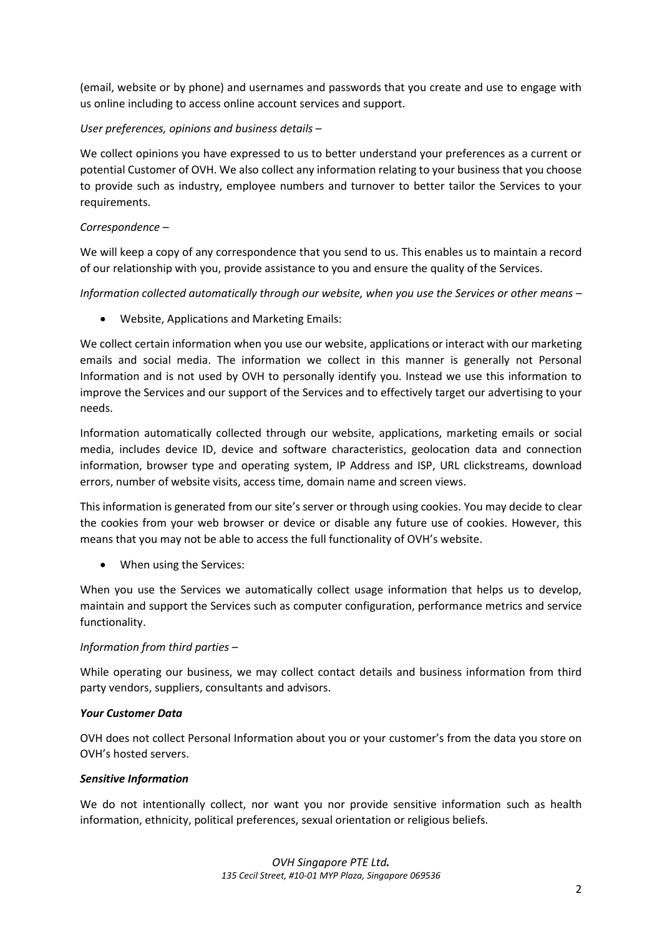(email, website or by phone) and usernames and passwords that you create and use to engage with us online including to access online account services and support.

# *User preferences, opinions and business details* –

We collect opinions you have expressed to us to better understand your preferences as a current or potential Customer of OVH. We also collect any information relating to your business that you choose to provide such as industry, employee numbers and turnover to better tailor the Services to your requirements.

## *Correspondence* –

We will keep a copy of any correspondence that you send to us. This enables us to maintain a record of our relationship with you, provide assistance to you and ensure the quality of the Services.

*Information collected automatically through our website, when you use the Services or other means* –

• Website, Applications and Marketing Emails:

We collect certain information when you use our website, applications or interact with our marketing emails and social media. The information we collect in this manner is generally not Personal Information and is not used by OVH to personally identify you. Instead we use this information to improve the Services and our support of the Services and to effectively target our advertising to your needs.

Information automatically collected through our website, applications, marketing emails or social media, includes device ID, device and software characteristics, geolocation data and connection information, browser type and operating system, IP Address and ISP, URL clickstreams, download errors, number of website visits, access time, domain name and screen views.

This information is generated from our site's server or through using cookies. You may decide to clear the cookies from your web browser or device or disable any future use of cookies. However, this means that you may not be able to access the full functionality of OVH's website.

When using the Services:

When you use the Services we automatically collect usage information that helps us to develop, maintain and support the Services such as computer configuration, performance metrics and service functionality.

## *Information from third parties* –

While operating our business, we may collect contact details and business information from third party vendors, suppliers, consultants and advisors.

## *Your Customer Data*

OVH does not collect Personal Information about you or your customer's from the data you store on OVH's hosted servers.

## *Sensitive Information*

We do not intentionally collect, nor want you nor provide sensitive information such as health information, ethnicity, political preferences, sexual orientation or religious beliefs.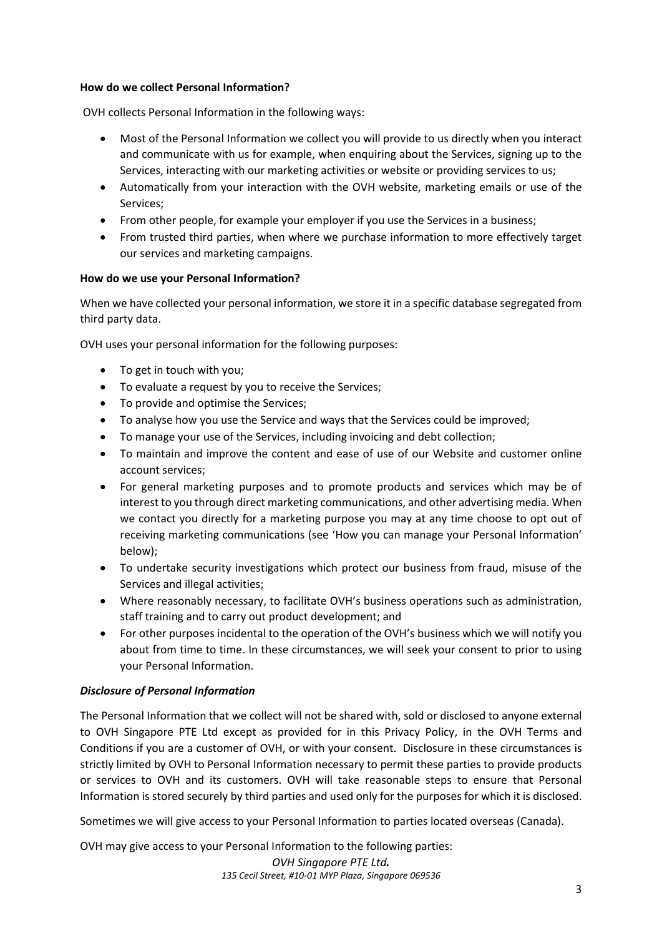### **How do we collect Personal Information?**

OVH collects Personal Information in the following ways:

- Most of the Personal Information we collect you will provide to us directly when you interact and communicate with us for example, when enquiring about the Services, signing up to the Services, interacting with our marketing activities or website or providing services to us;
- Automatically from your interaction with the OVH website, marketing emails or use of the Services;
- From other people, for example your employer if you use the Services in a business;
- From trusted third parties, when where we purchase information to more effectively target our services and marketing campaigns.

### **How do we use your Personal Information?**

When we have collected your personal information, we store it in a specific database segregated from third party data.

OVH uses your personal information for the following purposes:

- To get in touch with you;
- To evaluate a request by you to receive the Services;
- To provide and optimise the Services;
- To analyse how you use the Service and ways that the Services could be improved;
- To manage your use of the Services, including invoicing and debt collection;
- To maintain and improve the content and ease of use of our Website and customer online account services;
- For general marketing purposes and to promote products and services which may be of interest to you through direct marketing communications, and other advertising media. When we contact you directly for a marketing purpose you may at any time choose to opt out of receiving marketing communications (see 'How you can manage your Personal Information' below);
- To undertake security investigations which protect our business from fraud, misuse of the Services and illegal activities;
- Where reasonably necessary, to facilitate OVH's business operations such as administration, staff training and to carry out product development; and
- For other purposes incidental to the operation of the OVH's business which we will notify you about from time to time. In these circumstances, we will seek your consent to prior to using your Personal Information.

## *Disclosure of Personal Information*

The Personal Information that we collect will not be shared with, sold or disclosed to anyone external to OVH Singapore PTE Ltd except as provided for in this Privacy Policy, in the OVH Terms and Conditions if you are a customer of OVH, or with your consent. Disclosure in these circumstances is strictly limited by OVH to Personal Information necessary to permit these parties to provide products or services to OVH and its customers. OVH will take reasonable steps to ensure that Personal Information is stored securely by third parties and used only for the purposes for which it is disclosed.

Sometimes we will give access to your Personal Information to parties located overseas (Canada).

OVH may give access to your Personal Information to the following parties: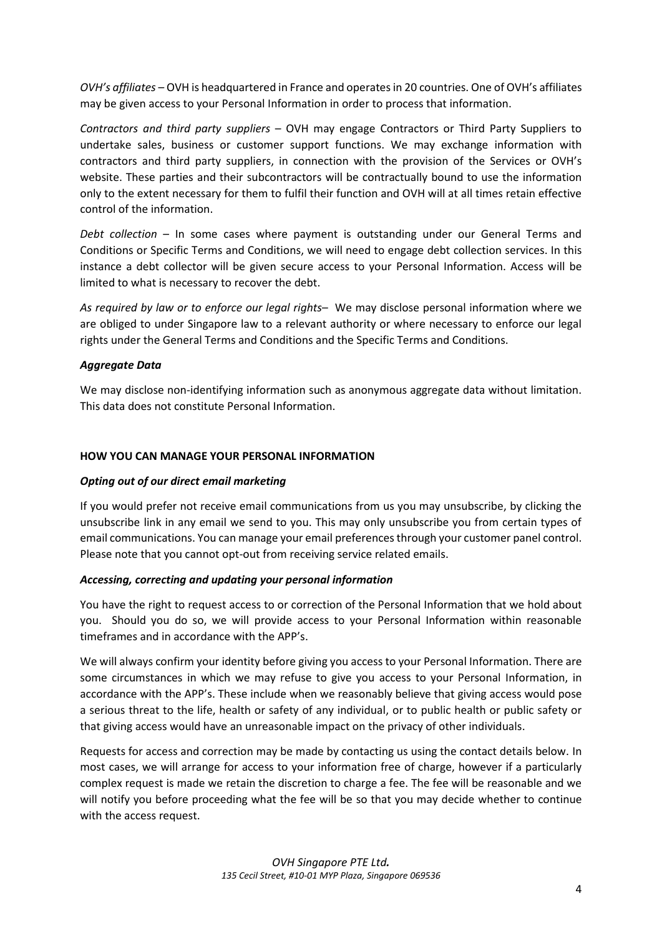*OVH's affiliates* – OVH is headquartered in France and operates in 20 countries. One of OVH's affiliates may be given access to your Personal Information in order to process that information.

*Contractors and third party suppliers* – OVH may engage Contractors or Third Party Suppliers to undertake sales, business or customer support functions. We may exchange information with contractors and third party suppliers, in connection with the provision of the Services or OVH's website. These parties and their subcontractors will be contractually bound to use the information only to the extent necessary for them to fulfil their function and OVH will at all times retain effective control of the information.

*Debt collection* – In some cases where payment is outstanding under our General Terms and Conditions or Specific Terms and Conditions, we will need to engage debt collection services. In this instance a debt collector will be given secure access to your Personal Information. Access will be limited to what is necessary to recover the debt.

*As required by law or to enforce our legal rights*– We may disclose personal information where we are obliged to under Singapore law to a relevant authority or where necessary to enforce our legal rights under the General Terms and Conditions and the Specific Terms and Conditions.

## *Aggregate Data*

We may disclose non-identifying information such as anonymous aggregate data without limitation. This data does not constitute Personal Information.

### **HOW YOU CAN MANAGE YOUR PERSONAL INFORMATION**

#### *Opting out of our direct email marketing*

If you would prefer not receive email communications from us you may unsubscribe, by clicking the unsubscribe link in any email we send to you. This may only unsubscribe you from certain types of email communications. You can manage your email preferences through your customer panel control. Please note that you cannot opt-out from receiving service related emails.

## *Accessing, correcting and updating your personal information*

You have the right to request access to or correction of the Personal Information that we hold about you. Should you do so, we will provide access to your Personal Information within reasonable timeframes and in accordance with the APP's.

We will always confirm your identity before giving you access to your Personal Information. There are some circumstances in which we may refuse to give you access to your Personal Information, in accordance with the APP's. These include when we reasonably believe that giving access would pose a serious threat to the life, health or safety of any individual, or to public health or public safety or that giving access would have an unreasonable impact on the privacy of other individuals.

Requests for access and correction may be made by contacting us using the contact details below. In most cases, we will arrange for access to your information free of charge, however if a particularly complex request is made we retain the discretion to charge a fee. The fee will be reasonable and we will notify you before proceeding what the fee will be so that you may decide whether to continue with the access request.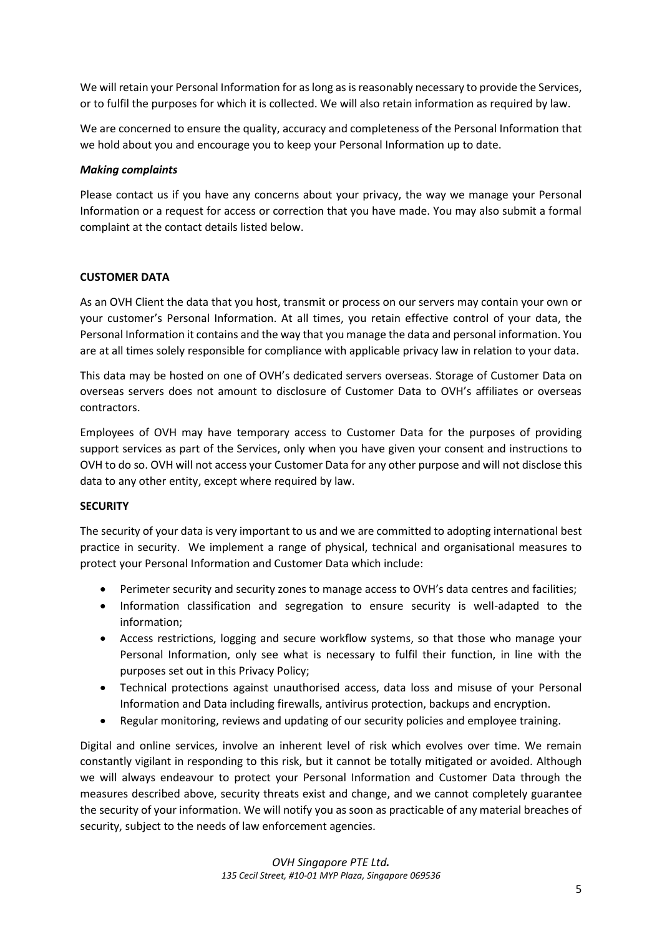We will retain your Personal Information for as long as is reasonably necessary to provide the Services, or to fulfil the purposes for which it is collected. We will also retain information as required by law.

We are concerned to ensure the quality, accuracy and completeness of the Personal Information that we hold about you and encourage you to keep your Personal Information up to date.

### *Making complaints*

Please contact us if you have any concerns about your privacy, the way we manage your Personal Information or a request for access or correction that you have made. You may also submit a formal complaint at the contact details listed below.

## **CUSTOMER DATA**

As an OVH Client the data that you host, transmit or process on our servers may contain your own or your customer's Personal Information. At all times, you retain effective control of your data, the Personal Information it contains and the way that you manage the data and personal information. You are at all times solely responsible for compliance with applicable privacy law in relation to your data.

This data may be hosted on one of OVH's dedicated servers overseas. Storage of Customer Data on overseas servers does not amount to disclosure of Customer Data to OVH's affiliates or overseas contractors.

Employees of OVH may have temporary access to Customer Data for the purposes of providing support services as part of the Services, only when you have given your consent and instructions to OVH to do so. OVH will not access your Customer Data for any other purpose and will not disclose this data to any other entity, except where required by law.

#### **SECURITY**

The security of your data is very important to us and we are committed to adopting international best practice in security. We implement a range of physical, technical and organisational measures to protect your Personal Information and Customer Data which include:

- Perimeter security and security zones to manage access to OVH's data centres and facilities;
- Information classification and segregation to ensure security is well-adapted to the information;
- Access restrictions, logging and secure workflow systems, so that those who manage your Personal Information, only see what is necessary to fulfil their function, in line with the purposes set out in this Privacy Policy;
- Technical protections against unauthorised access, data loss and misuse of your Personal Information and Data including firewalls, antivirus protection, backups and encryption.
- Regular monitoring, reviews and updating of our security policies and employee training.

Digital and online services, involve an inherent level of risk which evolves over time. We remain constantly vigilant in responding to this risk, but it cannot be totally mitigated or avoided. Although we will always endeavour to protect your Personal Information and Customer Data through the measures described above, security threats exist and change, and we cannot completely guarantee the security of your information. We will notify you as soon as practicable of any material breaches of security, subject to the needs of law enforcement agencies.